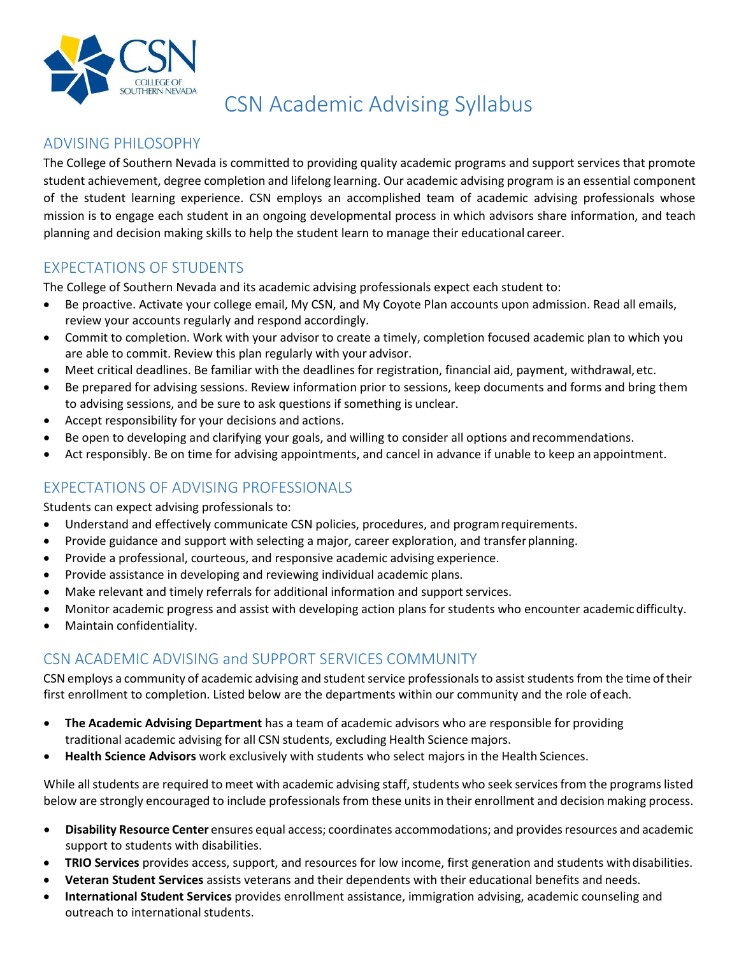

# CSN Academic Advising Syllabus

#### ADVISING PHILOSOPHY

The College of Southern Nevada is committed to providing quality academic programs and support services that promote student achievement, degree completion and lifelong learning. Our academic advising program is an essential component of the student learning experience. CSN employs an accomplished team of academic advising professionals whose mission is to engage each student in an ongoing developmental process in which advisors share information, and teach planning and decision making skills to help the student learn to manage their educational career.

## EXPECTATIONS OF STUDENTS

The College of Southern Nevada and its academic advising professionals expect each student to:

- Be proactive. Activate your college email, My CSN, and My Coyote Plan accounts upon admission. Read all emails, review your accounts regularly and respond accordingly.
- Commit to completion. Work with your advisor to create a timely, completion focused academic plan to which you are able to commit. Review this plan regularly with your advisor.
- Meet critical deadlines. Be familiar with the deadlines for registration, financial aid, payment, withdrawal,etc.
- Be prepared for advising sessions. Review information prior to sessions, keep documents and forms and bring them to advising sessions, and be sure to ask questions if something is unclear.
- Accept responsibility for your decisions and actions.
- Be open to developing and clarifying your goals, and willing to consider all options and recommendations.
- Act responsibly. Be on time for advising appointments, and cancel in advance if unable to keep an appointment.

#### EXPECTATIONS OF ADVISING PROFESSIONALS

Students can expect advising professionals to:

- Understand and effectively communicate CSN policies, procedures, and programrequirements.
- Provide guidance and support with selecting a major, career exploration, and transfer planning.
- Provide a professional, courteous, and responsive academic advising experience.
- Provide assistance in developing and reviewing individual academic plans.
- Make relevant and timely referrals for additional information and support services.
- Monitor academic progress and assist with developing action plans for students who encounter academic difficulty.
- Maintain confidentiality.

## CSN ACADEMIC ADVISING and SUPPORT SERVICES COMMUNITY

CSN employs a community of academic advising and student service professionals to assist students from the time of their first enrollment to completion. Listed below are the departments within our community and the role of each.

- **The Academic Advising Department** has a team of academic advisors who are responsible for providing traditional academic advising for all CSN students, excluding Health Science majors.
- **Health Science Advisors** work exclusively with students who select majors in the Health Sciences.

While all students are required to meet with academic advising staff, students who seek services from the programs listed below are strongly encouraged to include professionals from these units in their enrollment and decision making process.

- **Disability Resource Center** ensures equal access; coordinates accommodations; and providesresources and academic support to students with disabilities.
- **TRIO Services** provides access, support, and resources for low income, first generation and students withdisabilities.
- **Veteran Student Services** assists veterans and their dependents with their educational benefits and needs.
- **International Student Services** provides enrollment assistance, immigration advising, academic counseling and outreach to international students.